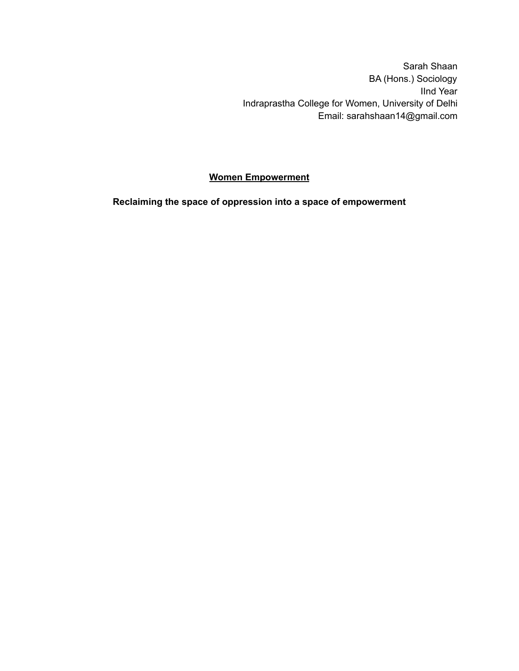Sarah Shaan BA (Hons.) Sociology IInd Year Indraprastha College for Women, University of Delhi Email: sarahshaan14@gmail.com

## **Women Empowerment**

**Reclaiming the space of oppression into a space of empowerment**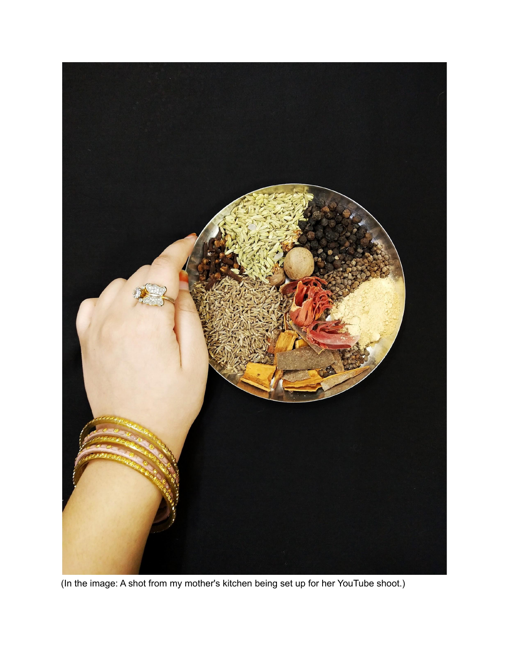

(In the image: A shot from my mother's kitchen being set up for her YouTube shoot.)